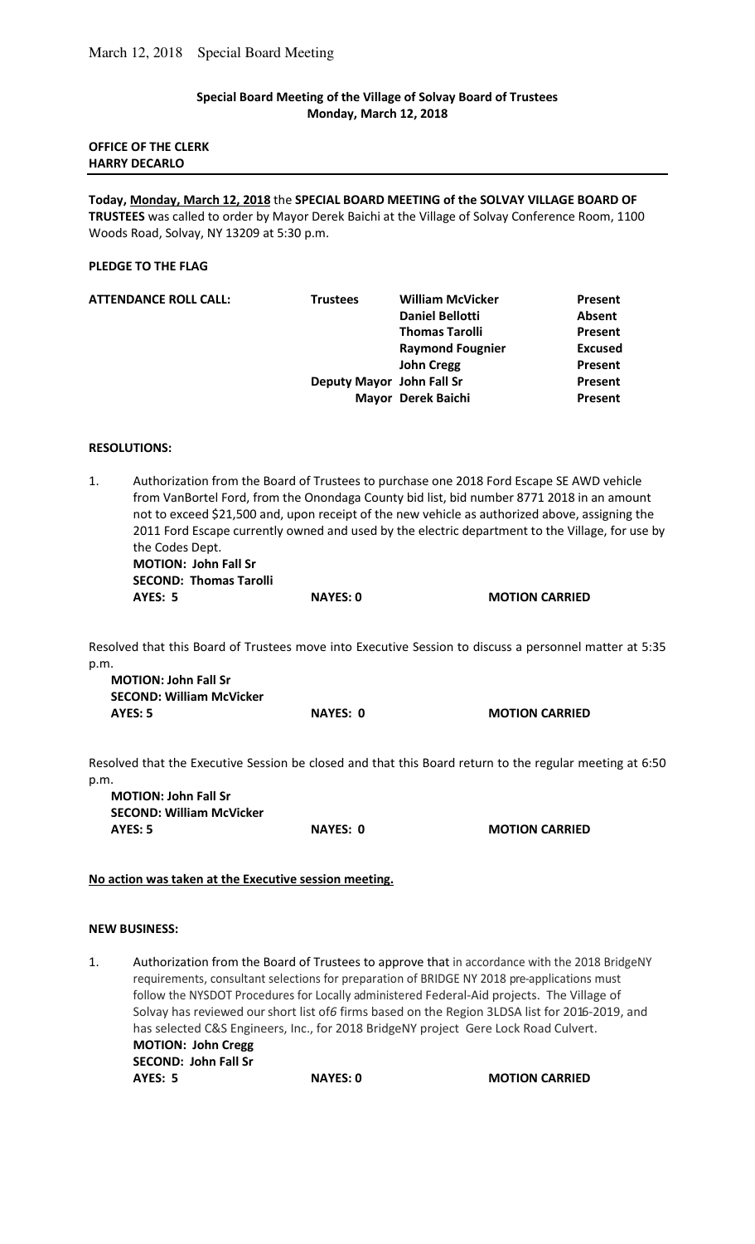## **Special Board Meeting of the Village of Solvay Board of Trustees Monday, March 12, 2018**

### **OFFICE OF THE CLERK HARRY DECARLO**

**Today, Monday, March 12, 2018** the **SPECIAL BOARD MEETING of the SOLVAY VILLAGE BOARD OF TRUSTEES** was called to order by Mayor Derek Baichi at the Village of Solvay Conference Room, 1100 Woods Road, Solvay, NY 13209 at 5:30 p.m.

### **PLEDGE TO THE FLAG**

| <b>Trustees</b> | <b>William McVicker</b> | Present                                         |
|-----------------|-------------------------|-------------------------------------------------|
|                 | <b>Daniel Bellotti</b>  | <b>Absent</b>                                   |
|                 | <b>Thomas Tarolli</b>   | Present                                         |
|                 | <b>Raymond Fougnier</b> | <b>Excused</b>                                  |
|                 | <b>John Cregg</b>       | Present                                         |
|                 |                         | Present                                         |
|                 |                         | Present                                         |
|                 |                         | Deputy Mayor John Fall Sr<br>Mayor Derek Baichi |

### **RESOLUTIONS:**

1. Authorization from the Board of Trustees to purchase one 2018 Ford Escape SE AWD vehicle from VanBortel Ford, from the Onondaga County bid list, bid number 8771 2018 in an amount not to exceed \$21,500 and, upon receipt of the new vehicle as authorized above, assigning the 2011 Ford Escape currently owned and used by the electric department to the Village, for use by the Codes Dept.  **MOTION: John Fall Sr SECOND: Thomas Tarolli AYES: 5** NAYES: 0 MOTION CARRIED

Resolved that this Board of Trustees move into Executive Session to discuss a personnel matter at 5:35 p.m.

| <b>MOTION: John Fall Sr</b>     |          |                       |
|---------------------------------|----------|-----------------------|
| <b>SECOND: William McVicker</b> |          |                       |
| AYES: 5                         | NAYES: 0 | <b>MOTION CARRIED</b> |

Resolved that the Executive Session be closed and that this Board return to the regular meeting at 6:50 p.m.

**MOTION: John Fall Sr SECOND: William McVicker AYES: 5 NAYES: 0 MOTION CARRIED** 

### **No action was taken at the Executive session meeting.**

#### **NEW BUSINESS:**

1. Authorization from the Board of Trustees to approve that in accordance with the 2018 BridgeNY requirements, consultant selections for preparation of BRIDGE NY 2018 pre-applications must follow the NYSDOT Procedures for Locally administered Federal-Aid projects. The Village of Solvay has reviewed our short list of*6* firms based on the Region 3LDSA list for 2016-2019, and has selected C&S Engineers, Inc., for 2018 BridgeNY project Gere Lock Road Culvert.  **MOTION: John Cregg SECOND: John Fall Sr AYES: 5 NAYES: 0 MOTION CARRIED**